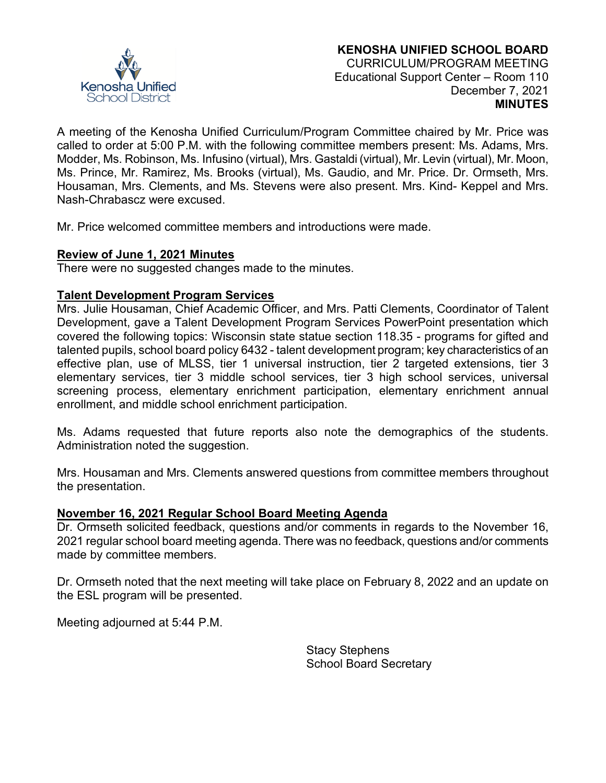

A meeting of the Kenosha Unified Curriculum/Program Committee chaired by Mr. Price was called to order at 5:00 P.M. with the following committee members present: Ms. Adams, Mrs. Modder, Ms. Robinson, Ms. Infusino (virtual), Mrs. Gastaldi (virtual), Mr. Levin (virtual), Mr. Moon, Ms. Prince, Mr. Ramirez, Ms. Brooks (virtual), Ms. Gaudio, and Mr. Price. Dr. Ormseth, Mrs. Housaman, Mrs. Clements, and Ms. Stevens were also present. Mrs. Kind- Keppel and Mrs. Nash-Chrabascz were excused.

Mr. Price welcomed committee members and introductions were made.

#### **Review of June 1, 2021 Minutes**

There were no suggested changes made to the minutes.

#### **Talent Development Program Services**

Mrs. Julie Housaman, Chief Academic Officer, and Mrs. Patti Clements, Coordinator of Talent Development, gave a Talent Development Program Services PowerPoint presentation which covered the following topics: Wisconsin state statue section 118.35 - programs for gifted and talented pupils, school board policy 6432 - talent development program; key characteristics of an effective plan, use of MLSS, tier 1 universal instruction, tier 2 targeted extensions, tier 3 elementary services, tier 3 middle school services, tier 3 high school services, universal screening process, elementary enrichment participation, elementary enrichment annual enrollment, and middle school enrichment participation.

Ms. Adams requested that future reports also note the demographics of the students. Administration noted the suggestion.

Mrs. Housaman and Mrs. Clements answered questions from committee members throughout the presentation.

#### **November 16, 2021 Regular School Board Meeting Agenda**

Dr. Ormseth solicited feedback, questions and/or comments in regards to the November 16, 2021 regular school board meeting agenda. There was no feedback, questions and/or comments made by committee members.

Dr. Ormseth noted that the next meeting will take place on February 8, 2022 and an update on the ESL program will be presented.

Meeting adjourned at 5:44 P.M.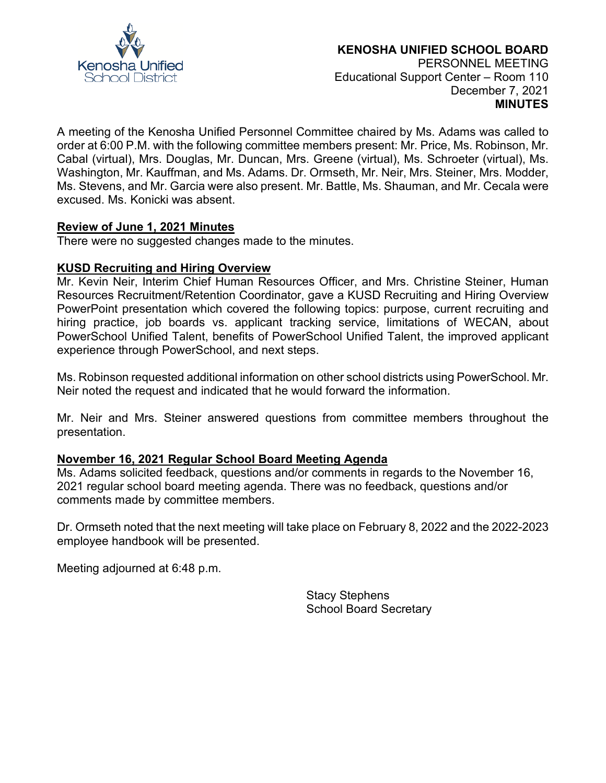

A meeting of the Kenosha Unified Personnel Committee chaired by Ms. Adams was called to order at 6:00 P.M. with the following committee members present: Mr. Price, Ms. Robinson, Mr. Cabal (virtual), Mrs. Douglas, Mr. Duncan, Mrs. Greene (virtual), Ms. Schroeter (virtual), Ms. Washington, Mr. Kauffman, and Ms. Adams. Dr. Ormseth, Mr. Neir, Mrs. Steiner, Mrs. Modder, Ms. Stevens, and Mr. Garcia were also present. Mr. Battle, Ms. Shauman, and Mr. Cecala were excused. Ms. Konicki was absent.

#### **Review of June 1, 2021 Minutes**

There were no suggested changes made to the minutes.

#### **KUSD Recruiting and Hiring Overview**

Mr. Kevin Neir, Interim Chief Human Resources Officer, and Mrs. Christine Steiner, Human Resources Recruitment/Retention Coordinator, gave a KUSD Recruiting and Hiring Overview PowerPoint presentation which covered the following topics: purpose, current recruiting and hiring practice, job boards vs. applicant tracking service, limitations of WECAN, about PowerSchool Unified Talent, benefits of PowerSchool Unified Talent, the improved applicant experience through PowerSchool, and next steps.

Ms. Robinson requested additional information on other school districts using PowerSchool. Mr. Neir noted the request and indicated that he would forward the information.

Mr. Neir and Mrs. Steiner answered questions from committee members throughout the presentation.

#### **November 16, 2021 Regular School Board Meeting Agenda**

Ms. Adams solicited feedback, questions and/or comments in regards to the November 16, 2021 regular school board meeting agenda. There was no feedback, questions and/or comments made by committee members.

Dr. Ormseth noted that the next meeting will take place on February 8, 2022 and the 2022-2023 employee handbook will be presented.

Meeting adjourned at 6:48 p.m.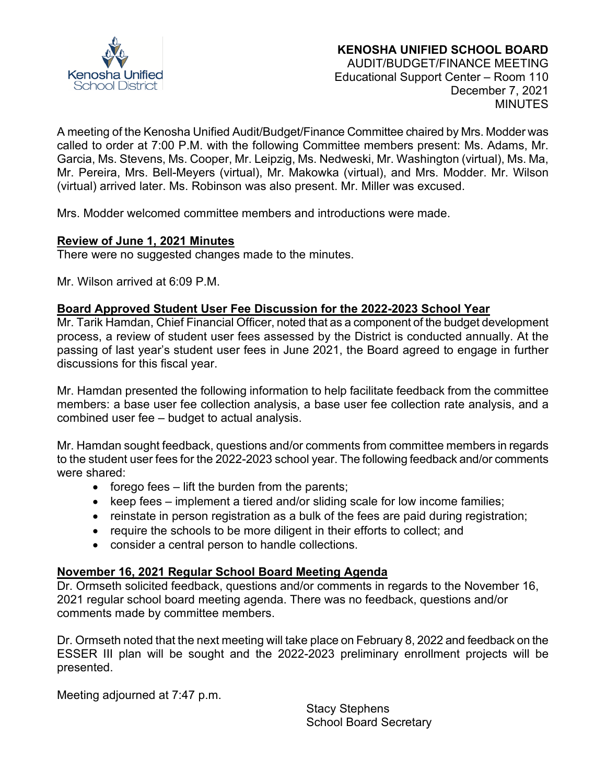

# **KENOSHA UNIFIED SCHOOL BOARD**

AUDIT/BUDGET/FINANCE MEETING Educational Support Center – Room 110 December 7, 2021 **MINUTES** 

A meeting of the Kenosha Unified Audit/Budget/Finance Committee chaired by Mrs. Modder was called to order at 7:00 P.M. with the following Committee members present: Ms. Adams, Mr. Garcia, Ms. Stevens, Ms. Cooper, Mr. Leipzig, Ms. Nedweski, Mr. Washington (virtual), Ms. Ma, Mr. Pereira, Mrs. Bell-Meyers (virtual), Mr. Makowka (virtual), and Mrs. Modder. Mr. Wilson (virtual) arrived later. Ms. Robinson was also present. Mr. Miller was excused.

Mrs. Modder welcomed committee members and introductions were made.

# **Review of June 1, 2021 Minutes**

There were no suggested changes made to the minutes.

Mr. Wilson arrived at 6:09 P.M.

# **Board Approved Student User Fee Discussion for the 2022-2023 School Year**

Mr. Tarik Hamdan, Chief Financial Officer, noted that as a component of the budget development process, a review of student user fees assessed by the District is conducted annually. At the passing of last year's student user fees in June 2021, the Board agreed to engage in further discussions for this fiscal year.

Mr. Hamdan presented the following information to help facilitate feedback from the committee members: a base user fee collection analysis, a base user fee collection rate analysis, and a combined user fee – budget to actual analysis.

Mr. Hamdan sought feedback, questions and/or comments from committee members in regards to the student user fees for the 2022-2023 school year. The following feedback and/or comments were shared:

- $\bullet$  forego fees  $-$  lift the burden from the parents;
- keep fees implement a tiered and/or sliding scale for low income families;
- reinstate in person registration as a bulk of the fees are paid during registration;
- require the schools to be more diligent in their efforts to collect; and
- consider a central person to handle collections.

# **November 16, 2021 Regular School Board Meeting Agenda**

Dr. Ormseth solicited feedback, questions and/or comments in regards to the November 16, 2021 regular school board meeting agenda. There was no feedback, questions and/or comments made by committee members.

Dr. Ormseth noted that the next meeting will take place on February 8, 2022 and feedback on the ESSER III plan will be sought and the 2022-2023 preliminary enrollment projects will be presented.

Meeting adjourned at 7:47 p.m.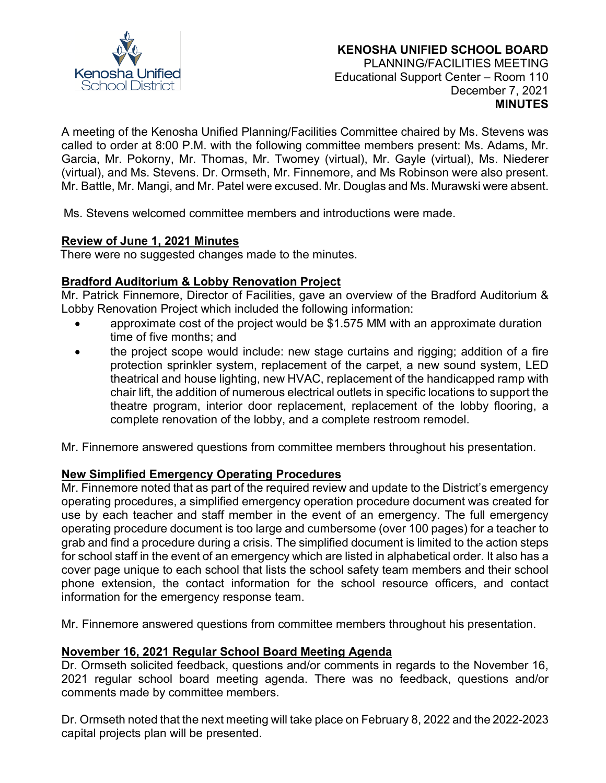

A meeting of the Kenosha Unified Planning/Facilities Committee chaired by Ms. Stevens was called to order at 8:00 P.M. with the following committee members present: Ms. Adams, Mr. Garcia, Mr. Pokorny, Mr. Thomas, Mr. Twomey (virtual), Mr. Gayle (virtual), Ms. Niederer (virtual), and Ms. Stevens. Dr. Ormseth, Mr. Finnemore, and Ms Robinson were also present. Mr. Battle, Mr. Mangi, and Mr. Patel were excused. Mr. Douglas and Ms. Murawski were absent.

Ms. Stevens welcomed committee members and introductions were made.

# **Review of June 1, 2021 Minutes**

There were no suggested changes made to the minutes.

# **Bradford Auditorium & Lobby Renovation Project**

Mr. Patrick Finnemore, Director of Facilities, gave an overview of the Bradford Auditorium & Lobby Renovation Project which included the following information:

- approximate cost of the project would be \$1.575 MM with an approximate duration time of five months; and
- the project scope would include: new stage curtains and rigging; addition of a fire protection sprinkler system, replacement of the carpet, a new sound system, LED theatrical and house lighting, new HVAC, replacement of the handicapped ramp with chair lift, the addition of numerous electrical outlets in specific locations to support the theatre program, interior door replacement, replacement of the lobby flooring, a complete renovation of the lobby, and a complete restroom remodel.

Mr. Finnemore answered questions from committee members throughout his presentation.

# **New Simplified Emergency Operating Procedures**

Mr. Finnemore noted that as part of the required review and update to the District's emergency operating procedures, a simplified emergency operation procedure document was created for use by each teacher and staff member in the event of an emergency. The full emergency operating procedure document is too large and cumbersome (over 100 pages) for a teacher to grab and find a procedure during a crisis. The simplified document is limited to the action steps for school staff in the event of an emergency which are listed in alphabetical order. It also has a cover page unique to each school that lists the school safety team members and their school phone extension, the contact information for the school resource officers, and contact information for the emergency response team.

Mr. Finnemore answered questions from committee members throughout his presentation.

# **November 16, 2021 Regular School Board Meeting Agenda**

Dr. Ormseth solicited feedback, questions and/or comments in regards to the November 16, 2021 regular school board meeting agenda. There was no feedback, questions and/or comments made by committee members.

Dr. Ormseth noted that the next meeting will take place on February 8, 2022 and the 2022-2023 capital projects plan will be presented.